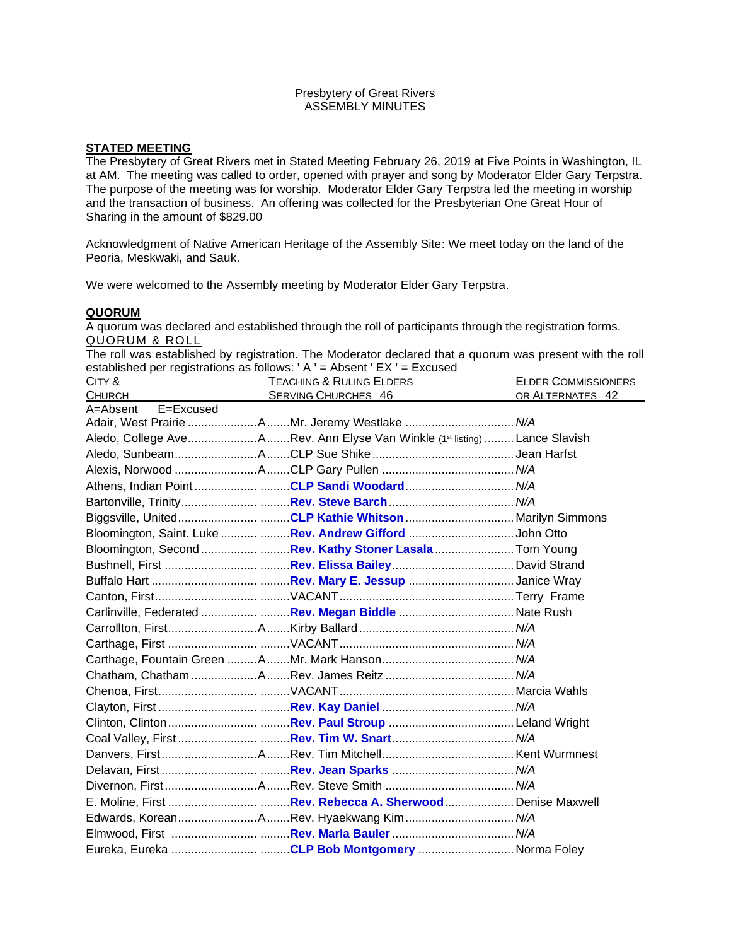## Presbytery of Great Rivers ASSEMBLY MINUTES

# **STATED MEETING**

The Presbytery of Great Rivers met in Stated Meeting February 26, 2019 at Five Points in Washington, IL at AM. The meeting was called to order, opened with prayer and song by Moderator Elder Gary Terpstra. The purpose of the meeting was for worship. Moderator Elder Gary Terpstra led the meeting in worship and the transaction of business. An offering was collected for the Presbyterian One Great Hour of Sharing in the amount of \$829.00

Acknowledgment of Native American Heritage of the Assembly Site: We meet today on the land of the Peoria, Meskwaki, and Sauk.

We were welcomed to the Assembly meeting by Moderator Elder Gary Terpstra.

# **QUORUM**

A quorum was declared and established through the roll of participants through the registration forms. QUORUM & ROLL

The roll was established by registration. The Moderator declared that a quorum was present with the roll established per registrations as follows: ' A ' = Absent ' EX ' = Excused

| CITY &                | <b>TEACHING &amp; RULING ELDERS</b>                                                                                                                                                                                                                                | <b>ELDER COMMISSIONERS</b> |
|-----------------------|--------------------------------------------------------------------------------------------------------------------------------------------------------------------------------------------------------------------------------------------------------------------|----------------------------|
| <b>CHURCH</b>         | <b>SERVING CHURCHES 46</b><br><u> 1989 - Jan Stein Stein Stein Stein Stein Stein Stein Stein Stein Stein Stein Stein Stein Stein Stein Stein Stein Stein Stein Stein Stein Stein Stein Stein Stein Stein Stein Stein Stein Stein Stein Stein Stein Stein Stein</u> | OR ALTERNATES 42           |
| E=Excused<br>A=Absent |                                                                                                                                                                                                                                                                    |                            |
|                       | Adair, West Prairie AMr. Jeremy Westlake  N/A                                                                                                                                                                                                                      |                            |
|                       | Aledo, College AveARev. Ann Elyse Van Winkle (1st listing) Lance Slavish                                                                                                                                                                                           |                            |
|                       |                                                                                                                                                                                                                                                                    |                            |
|                       |                                                                                                                                                                                                                                                                    |                            |
|                       | Athens, Indian PointCLP Sandi Woodard N/A                                                                                                                                                                                                                          |                            |
|                       |                                                                                                                                                                                                                                                                    |                            |
|                       | Biggsville, UnitedCLP Kathie Whitson Marilyn Simmons                                                                                                                                                                                                               |                            |
|                       | Bloomington, Saint. Luke   Rev. Andrew Gifford John Otto                                                                                                                                                                                                           |                            |
|                       | Bloomington, Second Rev. Kathy Stoner Lasala  Tom Young                                                                                                                                                                                                            |                            |
|                       |                                                                                                                                                                                                                                                                    |                            |
|                       |                                                                                                                                                                                                                                                                    |                            |
|                       |                                                                                                                                                                                                                                                                    |                            |
|                       |                                                                                                                                                                                                                                                                    |                            |
|                       |                                                                                                                                                                                                                                                                    |                            |
|                       |                                                                                                                                                                                                                                                                    |                            |
|                       |                                                                                                                                                                                                                                                                    |                            |
|                       |                                                                                                                                                                                                                                                                    |                            |
|                       |                                                                                                                                                                                                                                                                    |                            |
|                       |                                                                                                                                                                                                                                                                    |                            |
|                       |                                                                                                                                                                                                                                                                    |                            |
|                       |                                                                                                                                                                                                                                                                    |                            |
|                       |                                                                                                                                                                                                                                                                    |                            |
|                       |                                                                                                                                                                                                                                                                    |                            |
|                       |                                                                                                                                                                                                                                                                    |                            |
|                       |                                                                                                                                                                                                                                                                    |                            |
|                       |                                                                                                                                                                                                                                                                    |                            |
|                       |                                                                                                                                                                                                                                                                    |                            |
|                       |                                                                                                                                                                                                                                                                    |                            |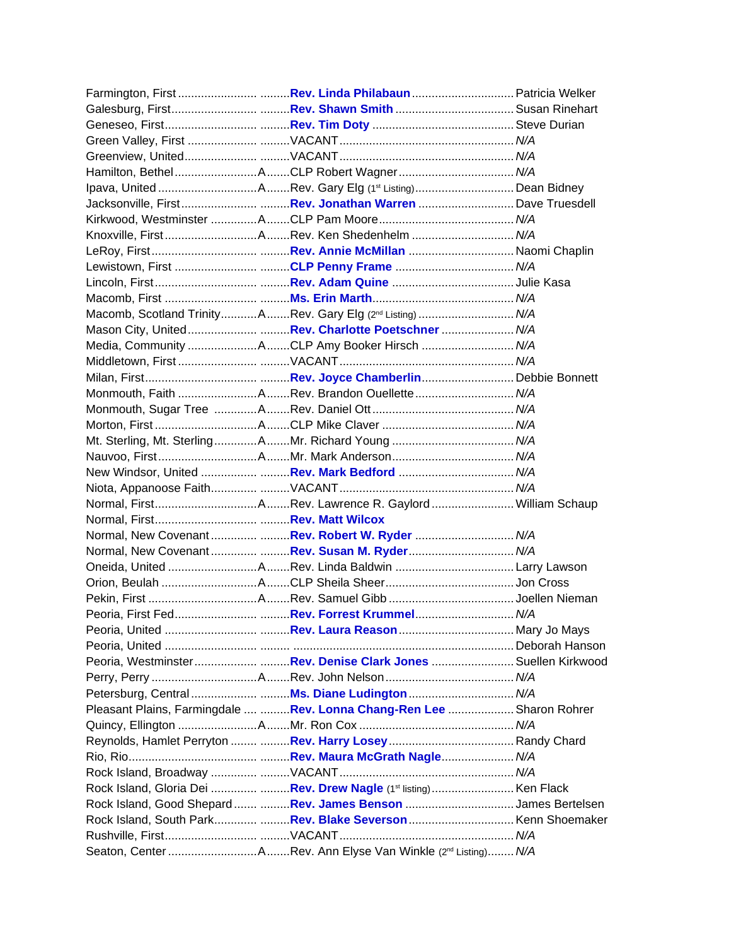| Lewistown, First CLP Penny Frame  N/A                                  |  |
|------------------------------------------------------------------------|--|
|                                                                        |  |
|                                                                        |  |
| Macomb, Scotland TrinityARev. Gary Elg (2 <sup>nd</sup> Listing) N/A   |  |
|                                                                        |  |
| Media, Community ACLP Amy Booker Hirsch  N/A                           |  |
|                                                                        |  |
|                                                                        |  |
|                                                                        |  |
|                                                                        |  |
|                                                                        |  |
|                                                                        |  |
|                                                                        |  |
|                                                                        |  |
|                                                                        |  |
|                                                                        |  |
|                                                                        |  |
| Normal, New CovenantRev. Robert W. Ryder  N/A                          |  |
|                                                                        |  |
|                                                                        |  |
|                                                                        |  |
|                                                                        |  |
|                                                                        |  |
|                                                                        |  |
|                                                                        |  |
| Peoria, WestminsterRev. Denise Clark JonesSuellen Kirkwood             |  |
|                                                                        |  |
|                                                                        |  |
| Pleasant Plains, Farmingdale   Rev. Lonna Chang-Ren Lee  Sharon Rohrer |  |
|                                                                        |  |
|                                                                        |  |
|                                                                        |  |
|                                                                        |  |
| Rock Island, Gloria Dei  Rev. Drew Nagle (1st listing) Ken Flack       |  |
| Rock Island, Good Shepard  Rev. James Benson James Bertelsen           |  |
| Rock Island, South Park Rev. Blake Severson  Kenn Shoemaker            |  |
|                                                                        |  |
|                                                                        |  |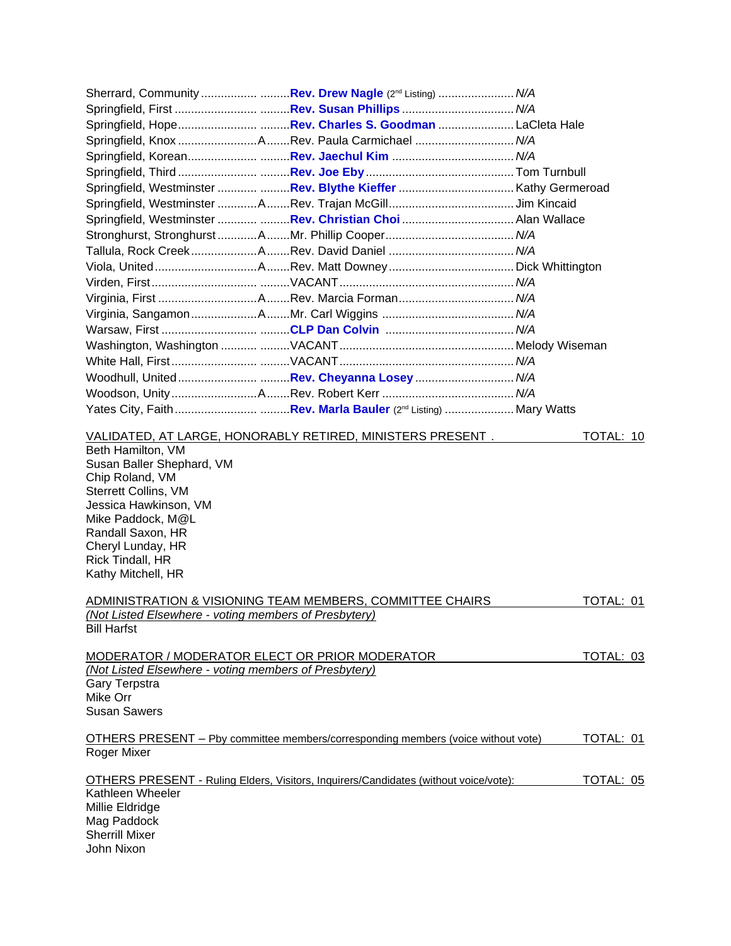|                                                                                                                                                                                                                                    | Sherrard, Community Rev. Drew Nagle (2nd Listing)  N/A                                    |                   |
|------------------------------------------------------------------------------------------------------------------------------------------------------------------------------------------------------------------------------------|-------------------------------------------------------------------------------------------|-------------------|
|                                                                                                                                                                                                                                    |                                                                                           |                   |
|                                                                                                                                                                                                                                    |                                                                                           |                   |
|                                                                                                                                                                                                                                    |                                                                                           |                   |
|                                                                                                                                                                                                                                    |                                                                                           |                   |
|                                                                                                                                                                                                                                    |                                                                                           |                   |
|                                                                                                                                                                                                                                    |                                                                                           |                   |
|                                                                                                                                                                                                                                    |                                                                                           |                   |
|                                                                                                                                                                                                                                    | Springfield, Westminster  Rev. Christian Choi  Alan Wallace                               |                   |
|                                                                                                                                                                                                                                    |                                                                                           |                   |
|                                                                                                                                                                                                                                    |                                                                                           |                   |
|                                                                                                                                                                                                                                    |                                                                                           |                   |
|                                                                                                                                                                                                                                    |                                                                                           |                   |
|                                                                                                                                                                                                                                    |                                                                                           |                   |
|                                                                                                                                                                                                                                    |                                                                                           |                   |
|                                                                                                                                                                                                                                    |                                                                                           |                   |
|                                                                                                                                                                                                                                    |                                                                                           |                   |
|                                                                                                                                                                                                                                    |                                                                                           |                   |
|                                                                                                                                                                                                                                    |                                                                                           |                   |
|                                                                                                                                                                                                                                    |                                                                                           |                   |
|                                                                                                                                                                                                                                    |                                                                                           |                   |
|                                                                                                                                                                                                                                    |                                                                                           |                   |
| Beth Hamilton, VM<br>Susan Baller Shephard, VM<br>Chip Roland, VM<br><b>Sterrett Collins, VM</b><br>Jessica Hawkinson, VM<br>Mike Paddock, M@L<br>Randall Saxon, HR<br>Cheryl Lunday, HR<br>Rick Tindall, HR<br>Kathy Mitchell, HR | VALIDATED, AT LARGE, HONORABLY RETIRED, MINISTERS PRESENT.                                | TOTAL: 10         |
|                                                                                                                                                                                                                                    | <u>ADMINISTRATION &amp; VISIONING TEAM MEMBERS, COMMITTEE CHAIRS</u>                      | TOTAL: 01         |
| (Not Listed Elsewhere - voting members of Presbytery)<br><b>Bill Harfst</b>                                                                                                                                                        |                                                                                           |                   |
| MODERATOR / MODERATOR ELECT OR PRIOR MODERATOR                                                                                                                                                                                     |                                                                                           | TOTAL: 03         |
| (Not Listed Elsewhere - voting members of Presbytery)<br>Gary Terpstra<br>Mike Orr<br><b>Susan Sawers</b>                                                                                                                          |                                                                                           |                   |
| Roger Mixer                                                                                                                                                                                                                        | <u> OTHERS PRESENT – Pby committee members/corresponding members (voice without vote)</u> | <u> TOTAL: 01</u> |
|                                                                                                                                                                                                                                    | OTHERS PRESENT - Ruling Elders, Visitors, Inquirers/Candidates (without voice/vote):      | TOTAL: 05         |
| Kathleen Wheeler<br>Millie Eldridge<br>Mag Paddock<br><b>Sherrill Mixer</b><br>John Nixon                                                                                                                                          |                                                                                           |                   |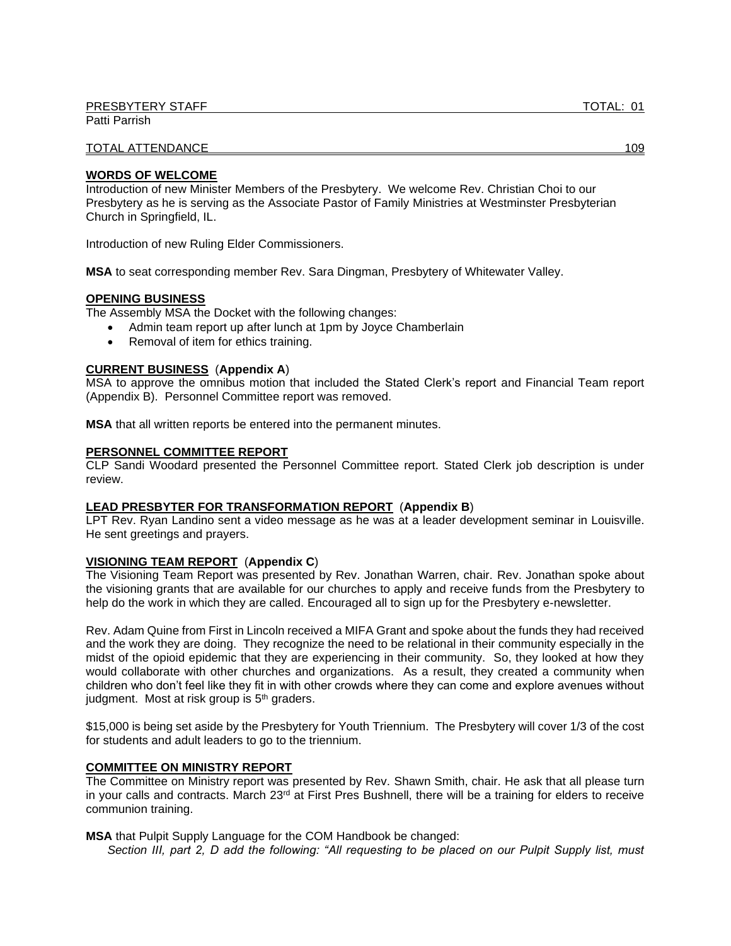TOTAL ATTENDANCE 109

### **WORDS OF WELCOME**

Introduction of new Minister Members of the Presbytery. We welcome Rev. Christian Choi to our Presbytery as he is serving as the Associate Pastor of Family Ministries at Westminster Presbyterian Church in Springfield, IL.

Introduction of new Ruling Elder Commissioners.

**MSA** to seat corresponding member Rev. Sara Dingman, Presbytery of Whitewater Valley.

## **OPENING BUSINESS**

The Assembly MSA the Docket with the following changes:

- Admin team report up after lunch at 1pm by Joyce Chamberlain
- Removal of item for ethics training.

### **CURRENT BUSINESS** (**Appendix A**)

MSA to approve the omnibus motion that included the Stated Clerk's report and Financial Team report (Appendix B). Personnel Committee report was removed.

**MSA** that all written reports be entered into the permanent minutes.

### **PERSONNEL COMMITTEE REPORT**

CLP Sandi Woodard presented the Personnel Committee report. Stated Clerk job description is under review.

#### **LEAD PRESBYTER FOR TRANSFORMATION REPORT** (**Appendix B**)

LPT Rev. Ryan Landino sent a video message as he was at a leader development seminar in Louisville. He sent greetings and prayers.

# **VISIONING TEAM REPORT** (**Appendix C**)

The Visioning Team Report was presented by Rev. Jonathan Warren, chair. Rev. Jonathan spoke about the visioning grants that are available for our churches to apply and receive funds from the Presbytery to help do the work in which they are called. Encouraged all to sign up for the Presbytery e-newsletter.

Rev. Adam Quine from First in Lincoln received a MIFA Grant and spoke about the funds they had received and the work they are doing. They recognize the need to be relational in their community especially in the midst of the opioid epidemic that they are experiencing in their community. So, they looked at how they would collaborate with other churches and organizations. As a result, they created a community when children who don't feel like they fit in with other crowds where they can come and explore avenues without judgment. Most at risk group is 5<sup>th</sup> graders.

\$15,000 is being set aside by the Presbytery for Youth Triennium. The Presbytery will cover 1/3 of the cost for students and adult leaders to go to the triennium.

# **COMMITTEE ON MINISTRY REPORT**

The Committee on Ministry report was presented by Rev. Shawn Smith, chair. He ask that all please turn in your calls and contracts. March 23<sup>rd</sup> at First Pres Bushnell, there will be a training for elders to receive communion training.

**MSA** that Pulpit Supply Language for the COM Handbook be changed:

*Section III, part 2, D add the following: "All requesting to be placed on our Pulpit Supply list, must*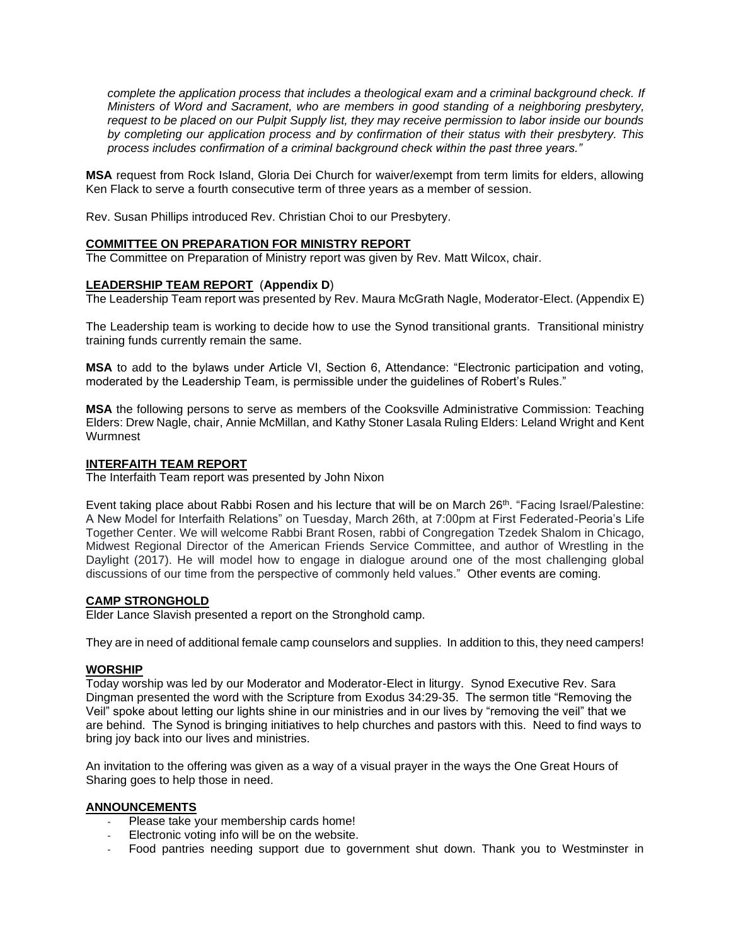*complete the application process that includes a theological exam and a criminal background check. If Ministers of Word and Sacrament, who are members in good standing of a neighboring presbytery, request to be placed on our Pulpit Supply list, they may receive permission to labor inside our bounds by completing our application process and by confirmation of their status with their presbytery. This process includes confirmation of a criminal background check within the past three years."*

**MSA** request from Rock Island, Gloria Dei Church for waiver/exempt from term limits for elders, allowing Ken Flack to serve a fourth consecutive term of three years as a member of session.

Rev. Susan Phillips introduced Rev. Christian Choi to our Presbytery.

## **COMMITTEE ON PREPARATION FOR MINISTRY REPORT**

The Committee on Preparation of Ministry report was given by Rev. Matt Wilcox, chair.

### **LEADERSHIP TEAM REPORT** (**Appendix D**)

The Leadership Team report was presented by Rev. Maura McGrath Nagle, Moderator-Elect. (Appendix E)

The Leadership team is working to decide how to use the Synod transitional grants. Transitional ministry training funds currently remain the same.

**MSA** to add to the bylaws under Article VI, Section 6, Attendance: "Electronic participation and voting, moderated by the Leadership Team, is permissible under the guidelines of Robert's Rules."

**MSA** the following persons to serve as members of the Cooksville Administrative Commission: Teaching Elders: Drew Nagle, chair, Annie McMillan, and Kathy Stoner Lasala Ruling Elders: Leland Wright and Kent **Wurmnest** 

### **INTERFAITH TEAM REPORT**

The Interfaith Team report was presented by John Nixon

Event taking place about Rabbi Rosen and his lecture that will be on March 26<sup>th</sup>. "Facing Israel/Palestine: A New Model for Interfaith Relations" on Tuesday, March 26th, at 7:00pm at First Federated-Peoria's Life Together Center. We will welcome Rabbi Brant Rosen, rabbi of Congregation Tzedek Shalom in Chicago, Midwest Regional Director of the American Friends Service Committee, and author of Wrestling in the Daylight (2017). He will model how to engage in dialogue around one of the most challenging global discussions of our time from the perspective of commonly held values." Other events are coming.

## **CAMP STRONGHOLD**

Elder Lance Slavish presented a report on the Stronghold camp.

They are in need of additional female camp counselors and supplies. In addition to this, they need campers!

#### **WORSHIP**

Today worship was led by our Moderator and Moderator-Elect in liturgy. Synod Executive Rev. Sara Dingman presented the word with the Scripture from Exodus 34:29-35. The sermon title "Removing the Veil" spoke about letting our lights shine in our ministries and in our lives by "removing the veil" that we are behind. The Synod is bringing initiatives to help churches and pastors with this. Need to find ways to bring joy back into our lives and ministries.

An invitation to the offering was given as a way of a visual prayer in the ways the One Great Hours of Sharing goes to help those in need.

#### **ANNOUNCEMENTS**

- Please take your membership cards home!
- Electronic voting info will be on the website.
- Food pantries needing support due to government shut down. Thank you to Westminster in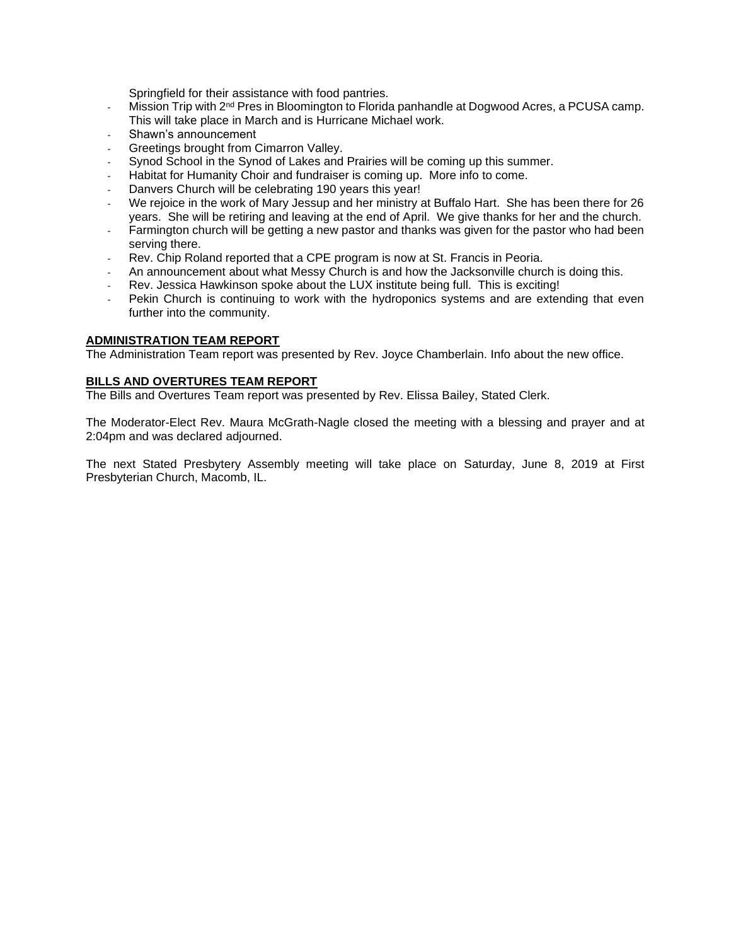Springfield for their assistance with food pantries.

- Mission Trip with 2<sup>nd</sup> Pres in Bloomington to Florida panhandle at Dogwood Acres, a PCUSA camp. This will take place in March and is Hurricane Michael work.
- Shawn's announcement
- Greetings brought from Cimarron Valley.
- Synod School in the Synod of Lakes and Prairies will be coming up this summer.
- Habitat for Humanity Choir and fundraiser is coming up. More info to come.
- Danvers Church will be celebrating 190 years this year!
- We rejoice in the work of Mary Jessup and her ministry at Buffalo Hart. She has been there for 26 years. She will be retiring and leaving at the end of April. We give thanks for her and the church.
- Farmington church will be getting a new pastor and thanks was given for the pastor who had been serving there.
- Rev. Chip Roland reported that a CPE program is now at St. Francis in Peoria.
- An announcement about what Messy Church is and how the Jacksonville church is doing this.
- Rev. Jessica Hawkinson spoke about the LUX institute being full. This is exciting!
- Pekin Church is continuing to work with the hydroponics systems and are extending that even further into the community.

## **ADMINISTRATION TEAM REPORT**

The Administration Team report was presented by Rev. Joyce Chamberlain. Info about the new office.

## **BILLS AND OVERTURES TEAM REPORT**

The Bills and Overtures Team report was presented by Rev. Elissa Bailey, Stated Clerk.

The Moderator-Elect Rev. Maura McGrath-Nagle closed the meeting with a blessing and prayer and at 2:04pm and was declared adjourned.

The next Stated Presbytery Assembly meeting will take place on Saturday, June 8, 2019 at First Presbyterian Church, Macomb, IL.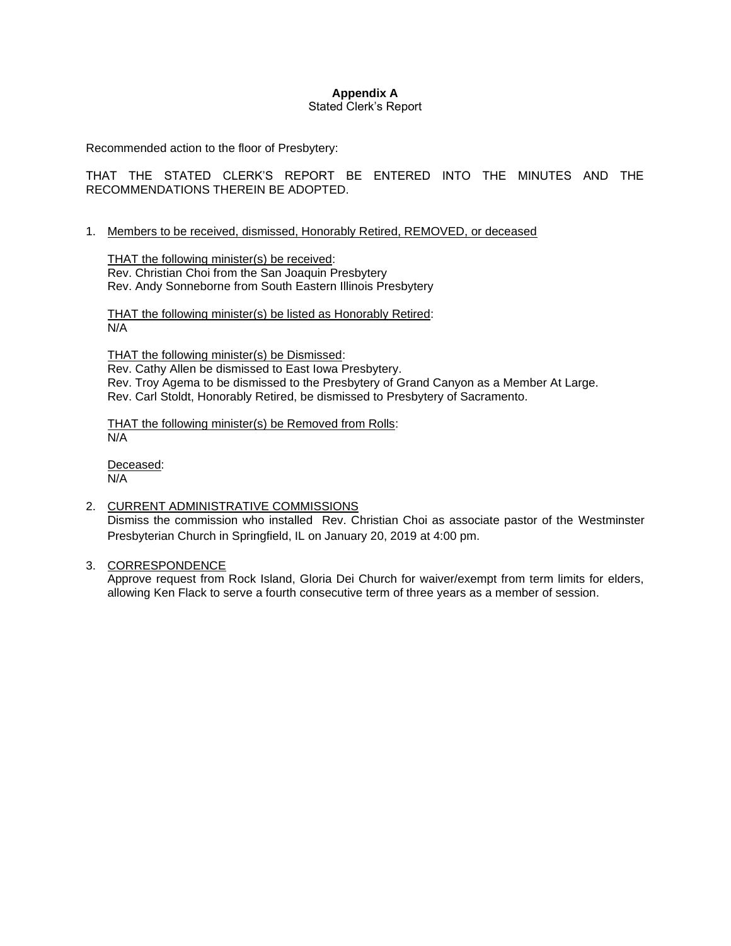### **Appendix A** Stated Clerk's Report

Recommended action to the floor of Presbytery:

THAT THE STATED CLERK'S REPORT BE ENTERED INTO THE MINUTES AND THE RECOMMENDATIONS THEREIN BE ADOPTED.

# 1. Members to be received, dismissed, Honorably Retired, REMOVED, or deceased

THAT the following minister(s) be received: Rev. Christian Choi from the San Joaquin Presbytery Rev. Andy Sonneborne from South Eastern Illinois Presbytery

THAT the following minister(s) be listed as Honorably Retired: N/A

THAT the following minister(s) be Dismissed: Rev. Cathy Allen be dismissed to East Iowa Presbytery. Rev. Troy Agema to be dismissed to the Presbytery of Grand Canyon as a Member At Large. Rev. Carl Stoldt, Honorably Retired, be dismissed to Presbytery of Sacramento.

THAT the following minister(s) be Removed from Rolls: N/A

Deceased: N/A

- 2. CURRENT ADMINISTRATIVE COMMISSIONS Dismiss the commission who installed Rev. Christian Choi as associate pastor of the Westminster Presbyterian Church in Springfield, IL on January 20, 2019 at 4:00 pm.
- 3. CORRESPONDENCE

Approve request from Rock Island, Gloria Dei Church for waiver/exempt from term limits for elders, allowing Ken Flack to serve a fourth consecutive term of three years as a member of session.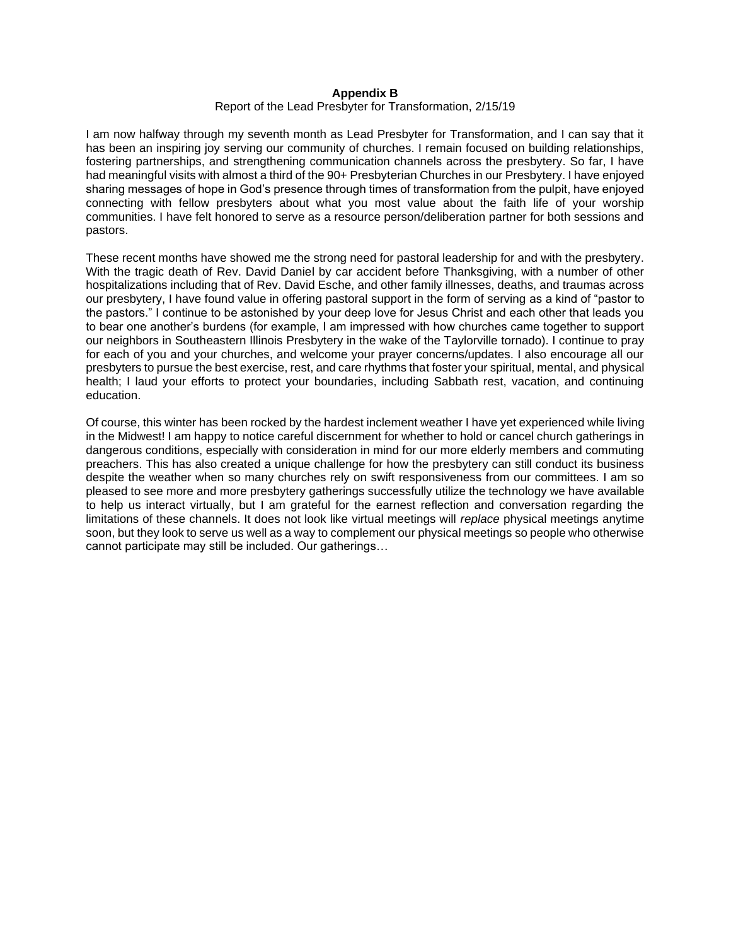### **Appendix B**

#### Report of the Lead Presbyter for Transformation, 2/15/19

I am now halfway through my seventh month as Lead Presbyter for Transformation, and I can say that it has been an inspiring joy serving our community of churches. I remain focused on building relationships, fostering partnerships, and strengthening communication channels across the presbytery. So far, I have had meaningful visits with almost a third of the 90+ Presbyterian Churches in our Presbytery. I have enjoyed sharing messages of hope in God's presence through times of transformation from the pulpit, have enjoyed connecting with fellow presbyters about what you most value about the faith life of your worship communities. I have felt honored to serve as a resource person/deliberation partner for both sessions and pastors.

These recent months have showed me the strong need for pastoral leadership for and with the presbytery. With the tragic death of Rev. David Daniel by car accident before Thanksgiving, with a number of other hospitalizations including that of Rev. David Esche, and other family illnesses, deaths, and traumas across our presbytery, I have found value in offering pastoral support in the form of serving as a kind of "pastor to the pastors." I continue to be astonished by your deep love for Jesus Christ and each other that leads you to bear one another's burdens (for example, I am impressed with how churches came together to support our neighbors in Southeastern Illinois Presbytery in the wake of the Taylorville tornado). I continue to pray for each of you and your churches, and welcome your prayer concerns/updates. I also encourage all our presbyters to pursue the best exercise, rest, and care rhythms that foster your spiritual, mental, and physical health; I laud your efforts to protect your boundaries, including Sabbath rest, vacation, and continuing education.

Of course, this winter has been rocked by the hardest inclement weather I have yet experienced while living in the Midwest! I am happy to notice careful discernment for whether to hold or cancel church gatherings in dangerous conditions, especially with consideration in mind for our more elderly members and commuting preachers. This has also created a unique challenge for how the presbytery can still conduct its business despite the weather when so many churches rely on swift responsiveness from our committees. I am so pleased to see more and more presbytery gatherings successfully utilize the technology we have available to help us interact virtually, but I am grateful for the earnest reflection and conversation regarding the limitations of these channels. It does not look like virtual meetings will *replace* physical meetings anytime soon, but they look to serve us well as a way to complement our physical meetings so people who otherwise cannot participate may still be included. Our gatherings…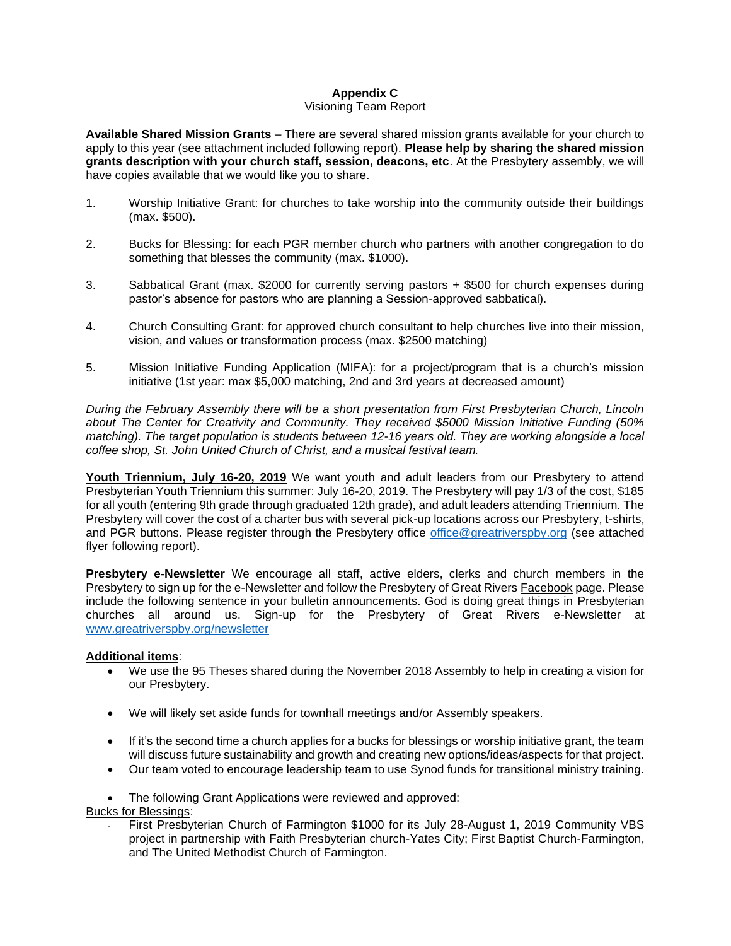# **Appendix C**

# Visioning Team Report

**Available Shared Mission Grants** – There are several shared mission grants available for your church to apply to this year (see attachment included following report). **Please help by sharing the shared mission grants description with your church staff, session, deacons, etc**. At the Presbytery assembly, we will have copies available that we would like you to share.

- 1. Worship Initiative Grant: for churches to take worship into the community outside their buildings (max. \$500).
- 2. Bucks for Blessing: for each PGR member church who partners with another congregation to do something that blesses the community (max. \$1000).
- 3. Sabbatical Grant (max. \$2000 for currently serving pastors + \$500 for church expenses during pastor's absence for pastors who are planning a Session-approved sabbatical).
- 4. Church Consulting Grant: for approved church consultant to help churches live into their mission, vision, and values or transformation process (max. \$2500 matching)
- 5. Mission Initiative Funding Application (MIFA): for a project/program that is a church's mission initiative (1st year: max \$5,000 matching, 2nd and 3rd years at decreased amount)

*During the February Assembly there will be a short presentation from First Presbyterian Church, Lincoln about The Center for Creativity and Community. They received \$5000 Mission Initiative Funding (50%*  matching). The target population is students between 12-16 years old. They are working alongside a local *coffee shop, St. John United Church of Christ, and a musical festival team.* 

Youth Triennium, July 16-20, 2019 We want youth and adult leaders from our Presbytery to attend Presbyterian Youth Triennium this summer: July 16-20, 2019. The Presbytery will pay 1/3 of the cost, \$185 for all youth (entering 9th grade through graduated 12th grade), and adult leaders attending Triennium. The Presbytery will cover the cost of a charter bus with several pick-up locations across our Presbytery, t-shirts, and PGR buttons. Please register through the Presbytery office [office@greatriverspby.org](mailto:office@greatriverspby.org) (see attached flyer following report).

**Presbytery e-Newsletter** We encourage all staff, active elders, clerks and church members in the Presbytery to sign up for the e-Newsletter and follow the Presbytery of Great Rivers Facebook page. Please include the following sentence in your bulletin announcements. God is doing great things in Presbyterian churches all around us. Sign-up for the Presbytery of Great Rivers e-Newsletter at [www.greatriverspby.org/newsletter](http://www.greatriverspby.org/newsletter)

## **Additional items**:

- We use the 95 Theses shared during the November 2018 Assembly to help in creating a vision for our Presbytery.
- We will likely set aside funds for townhall meetings and/or Assembly speakers.
- If it's the second time a church applies for a bucks for blessings or worship initiative grant, the team will discuss future sustainability and growth and creating new options/ideas/aspects for that project.
- Our team voted to encourage leadership team to use Synod funds for transitional ministry training.

• The following Grant Applications were reviewed and approved:

Bucks for Blessings:

First Presbyterian Church of Farmington \$1000 for its July 28-August 1, 2019 Community VBS project in partnership with Faith Presbyterian church-Yates City; First Baptist Church-Farmington, and The United Methodist Church of Farmington.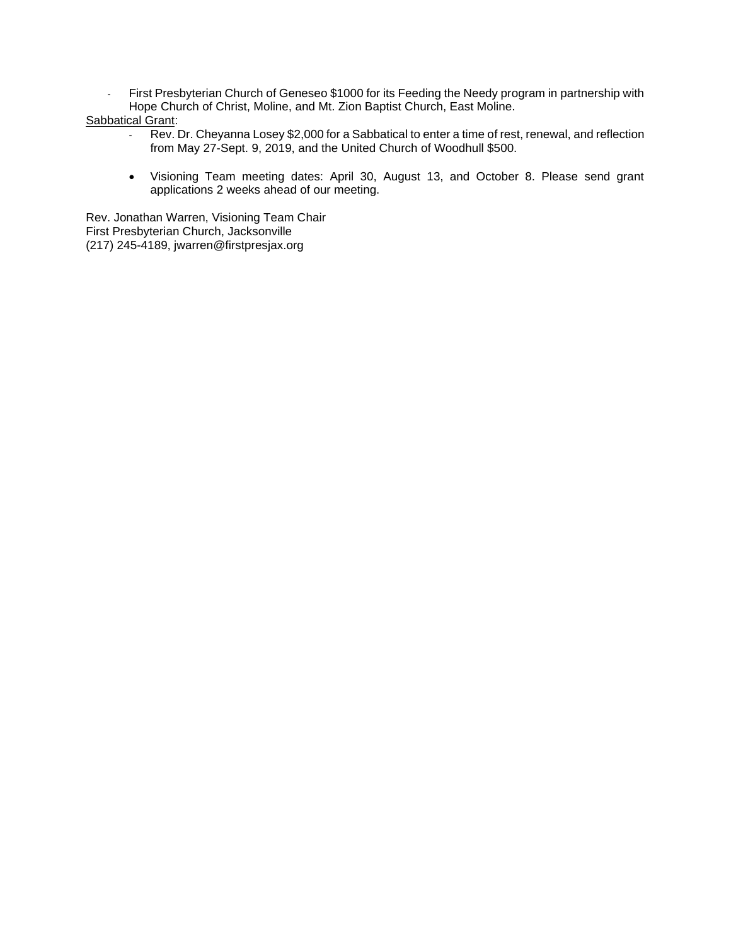- First Presbyterian Church of Geneseo \$1000 for its Feeding the Needy program in partnership with Hope Church of Christ, Moline, and Mt. Zion Baptist Church, East Moline.

# Sabbatical Grant:

- Rev. Dr. Cheyanna Losey \$2,000 for a Sabbatical to enter a time of rest, renewal, and reflection from May 27-Sept. 9, 2019, and the United Church of Woodhull \$500.
- Visioning Team meeting dates: April 30, August 13, and October 8. Please send grant applications 2 weeks ahead of our meeting.

Rev. Jonathan Warren, Visioning Team Chair First Presbyterian Church, Jacksonville (217) 245-4189, jwarren@firstpresjax.org